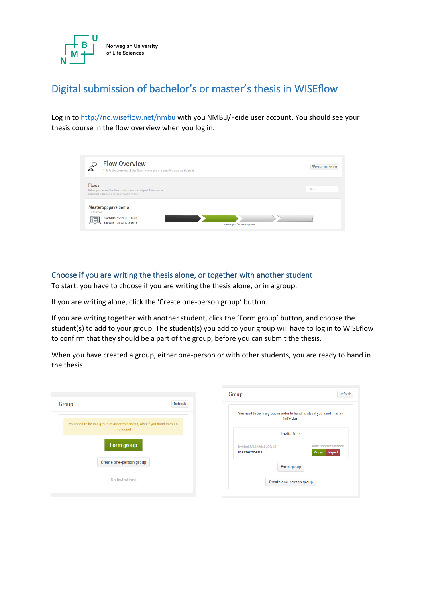

# Digital submission of bachelor's or master's thesis in WISEflow

Log in to <http://no.wiseflow.net/nmbu> with you NMBU/Feide user account. You should see your thesis course in the flow overview when you log in.

| <b>Flow Overview</b><br>This is the overview of the flows where you are enrolled as a participant                                           | Participant Archive |
|---------------------------------------------------------------------------------------------------------------------------------------------|---------------------|
| <b>Flows</b><br>Below, you can see the flows to which you are assigned. Flows can be<br>individual tests, sequences and examinations.       | Filter              |
| Masteroppgave demo<br>M30-ECON<br>Start date: 15/09/2018 12:00<br>$=$<br>End date: 15/12/2018 15:45<br><b>State: Open for participation</b> |                     |

## Choose if you are writing the thesis alone, or together with another student

To start, you have to choose if you are writing the thesis alone, or in a group.

If you are writing alone, click the 'Create one-person group' button.

If you are writing together with another student, click the 'Form group' button, and choose the student(s) to add to your group. The student(s) you add to your group will have to log in to WISEflow to confirm that they should be a part of the group, before you can submit the thesis.

When you have created a group, either one-person or with other students, you are ready to hand in the thesis.

| Group |                                                                                        | Refresh |
|-------|----------------------------------------------------------------------------------------|---------|
|       | You need to be in a group in order to hand in, also if you hand in as an<br>individual |         |
|       | Form group                                                                             |         |
|       | Create one-person group                                                                |         |
|       | No invitations                                                                         |         |

| Group                                                                                  | Refresh                                 |
|----------------------------------------------------------------------------------------|-----------------------------------------|
| You need to be in a group in order to hand in, also if you hand in as an<br>individual |                                         |
| Invitations                                                                            |                                         |
| Invited 8/11/2018, 09:45<br><b>Master thesis</b>                                       | Awaiting acceptance<br>Reject<br>Accept |
| Form group                                                                             |                                         |
| Create one-person group                                                                |                                         |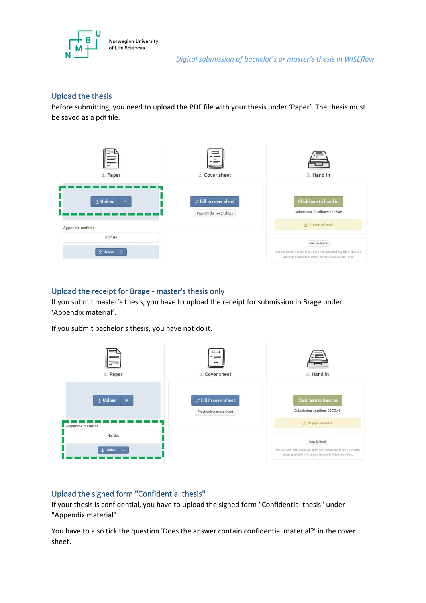

## Upload the thesis

Before submitting, you need to upload the PDF file with your thesis under 'Paper'. The thesis must be saved as a pdf file.



### Upload the receipt for Brage - master's thesis only

If you submit master's thesis, you have to upload the receipt for submission in Brage under 'Appendix material'.

If you submit bachelor's thesis, you have not do it.

| 1. Paper                                                              | '三」<br>2. Cover sheet                                   | ≔<br>3. Hand in                                                                                                                                   |
|-----------------------------------------------------------------------|---------------------------------------------------------|---------------------------------------------------------------------------------------------------------------------------------------------------|
| <b>↑ Upload</b><br>$\equiv$<br>Appendix material<br><b>STATISTICS</b> | <b>∕</b> Fill in cover sheet<br>Preview the cover sheet | Click here to hand in<br>Submission deadline: 00:53:48<br>A No paper uploaded                                                                     |
| No files<br>$\triangle$ Upload $\equiv$                               |                                                         | Hand in blank<br>You can hand in blank if you have not uploaded any files. This will<br>count as a hand in in regard to your institution's rules. |

## Upload the signed form "Confidential thesis"

If your thesis is confidential, you have to upload the signed form "Confidential thesis" under "Appendix material".

You have to also tick the question 'Does the answer contain confidential material?' in the cover sheet.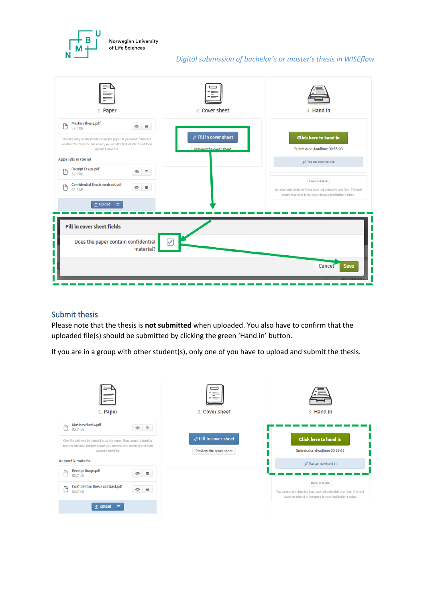

## *Digital submission of bachelor's or master's thesis in WISEflow*



#### Submit thesis

Please note that the thesis is **not submitted** when uploaded. You also have to confirm that the uploaded file(s) should be submitted by clicking the green 'Hand in' button.

If you are in a group with other student(s), only one of you have to upload and submit the thesis.